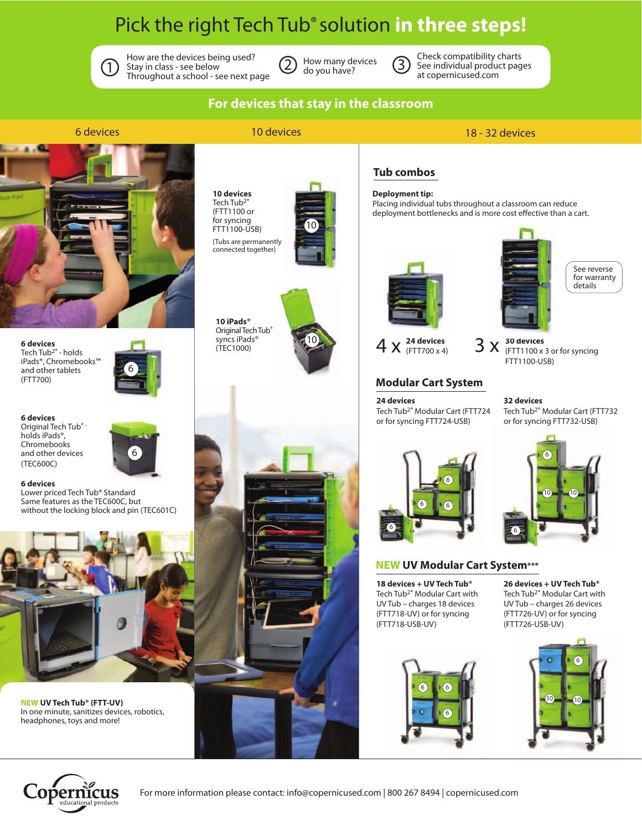# Pick the right Tech Tub® solution **in three steps!**



How are the devices being used?  $\bigcirc$  Stay in class - see below  $\bigcirc$  Stay in class - see below  $\bigcirc$  do you have? Throughout a school - see next page

How many devices do you have?



**Tub combos**

**Deployment tip:**

Check compatibility charts See individual product pages at copernicused.com

Placing individual tubs throughout a classroom can reduce deployment bottlenecks and is more cost effective than a cart.

### **For devices that stay in the classroom**

#### 6 devices 10 devices 18 - 32 devices



**6 devices** Tech Tub2® - holds iPads®, Chromebooks™ and other tablets (FTT700)

Lower priced Tech Tub® Standard Same features as the TEC600C, but without the locking block and pin (TEC601C)

**6 devices** Original Tech Tub® holds iPads®, Chromebooks and other devices (TEC600C) **6 devices**



6

**10 devices** Tech Tub<sup>2®</sup> (FTT1100 or for syncing FTT1100-USB)

(Tubs are permanently connected together)



 $[10$ 



**24 devices**  $4 \times \frac{24 \text{ devices}}{(FTT700 \times 4)}$  3 X

#### **Modular Cart System**

**24 devices** Tech Tub2® Modular Cart (FTT724 or for syncing FTT724-USB)



6

 $10$ 

6

 $10$ 



#### **NEW UV Modular Cart System\*\*\***

**18 devices + UV Tech Tub®** Tech Tub2® Modular Cart with UV Tub – charges 18 devices (FTT718-UV) or for syncing (FTT718-USB-UV)

**26 devices + UV Tech Tub®** Tech Tub2® Modular Cart with UV Tub – charges 26 devices (FTT726-UV) or for syncing (FTT726-USB-UV)







**NEW UV Tech Tub® (FTT-UV)**

headphones, toys and more!

In one minute, sanitizes devices, robotics,

syncs iPads® (TEC1000)







See reverse for warranty details

**30 devices** (FTT1100 x 3 or for syncing FTT1100-USB)